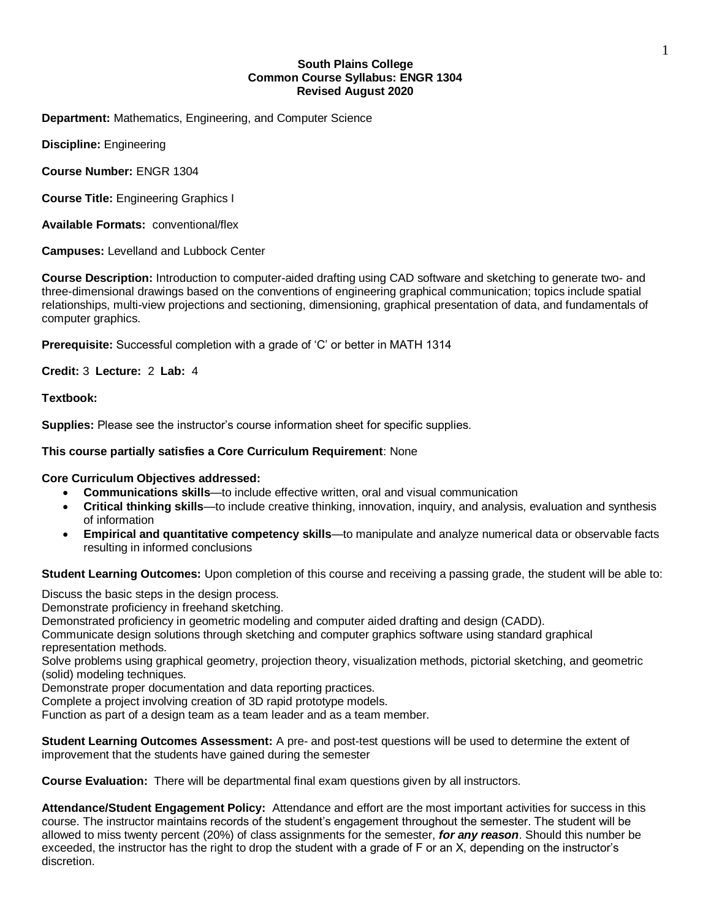## **South Plains College Common Course Syllabus: ENGR 1304 Revised August 2020**

**Department:** Mathematics, Engineering, and Computer Science

**Discipline:** Engineering

**Course Number:** ENGR 1304

**Course Title:** Engineering Graphics I

**Available Formats:** conventional/flex

**Campuses:** Levelland and Lubbock Center

**Course Description:** Introduction to computer-aided drafting using CAD software and sketching to generate two- and three-dimensional drawings based on the conventions of engineering graphical communication; topics include spatial relationships, multi-view projections and sectioning, dimensioning, graphical presentation of data, and fundamentals of computer graphics.

**Prerequisite:** Successful completion with a grade of 'C' or better in MATH 1314

**Credit:** 3 **Lecture:** 2 **Lab:** 4

**Textbook:** 

**Supplies:** Please see the instructor's course information sheet for specific supplies.

#### **This course partially satisfies a Core Curriculum Requirement**: None

## **Core Curriculum Objectives addressed:**

- **Communications skills**—to include effective written, oral and visual communication
- **Critical thinking skills**—to include creative thinking, innovation, inquiry, and analysis, evaluation and synthesis of information
- **Empirical and quantitative competency skills**—to manipulate and analyze numerical data or observable facts resulting in informed conclusions

**Student Learning Outcomes:** Upon completion of this course and receiving a passing grade, the student will be able to:

Discuss the basic steps in the design process.

Demonstrate proficiency in freehand sketching.

Demonstrated proficiency in geometric modeling and computer aided drafting and design (CADD).

Communicate design solutions through sketching and computer graphics software using standard graphical representation methods.

Solve problems using graphical geometry, projection theory, visualization methods, pictorial sketching, and geometric (solid) modeling techniques.

Demonstrate proper documentation and data reporting practices.

Complete a project involving creation of 3D rapid prototype models.

Function as part of a design team as a team leader and as a team member.

**Student Learning Outcomes Assessment:** A pre- and post-test questions will be used to determine the extent of improvement that the students have gained during the semester

**Course Evaluation:** There will be departmental final exam questions given by all instructors.

**Attendance/Student Engagement Policy:** Attendance and effort are the most important activities for success in this course. The instructor maintains records of the student's engagement throughout the semester. The student will be allowed to miss twenty percent (20%) of class assignments for the semester, *for any reason*. Should this number be exceeded, the instructor has the right to drop the student with a grade of F or an X, depending on the instructor's discretion.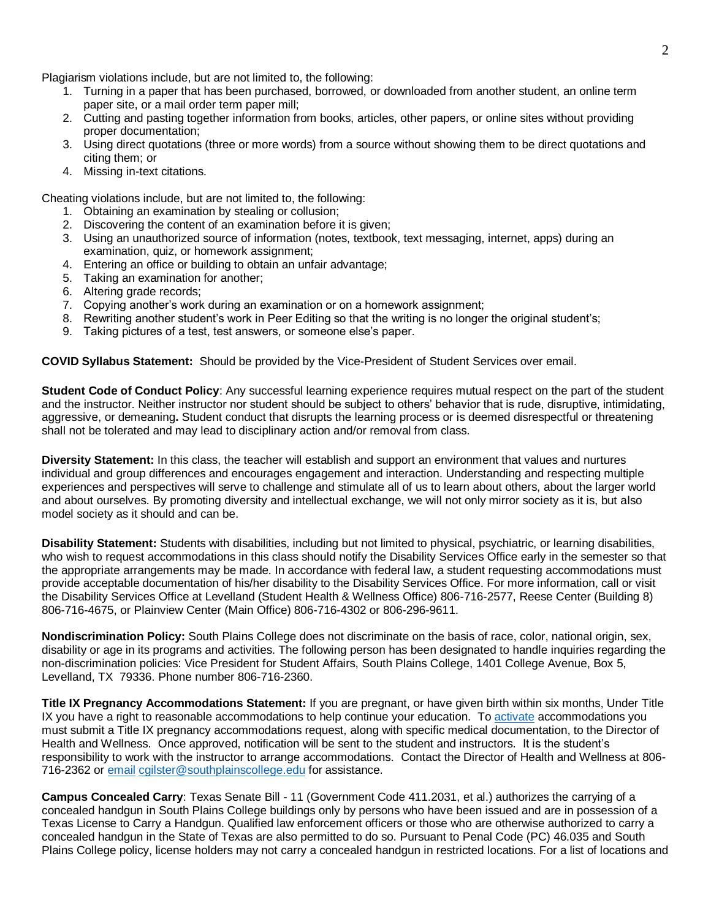Plagiarism violations include, but are not limited to, the following:

- 1. Turning in a paper that has been purchased, borrowed, or downloaded from another student, an online term paper site, or a mail order term paper mill;
- 2. Cutting and pasting together information from books, articles, other papers, or online sites without providing proper documentation;
- 3. Using direct quotations (three or more words) from a source without showing them to be direct quotations and citing them; or
- 4. Missing in-text citations.

Cheating violations include, but are not limited to, the following:

- 1. Obtaining an examination by stealing or collusion;
- 2. Discovering the content of an examination before it is given;
- 3. Using an unauthorized source of information (notes, textbook, text messaging, internet, apps) during an examination, quiz, or homework assignment;
- 4. Entering an office or building to obtain an unfair advantage;
- 5. Taking an examination for another;
- 6. Altering grade records;
- 7. Copying another's work during an examination or on a homework assignment;
- 8. Rewriting another student's work in Peer Editing so that the writing is no longer the original student's;
- 9. Taking pictures of a test, test answers, or someone else's paper.

**COVID Syllabus Statement:** Should be provided by the Vice-President of Student Services over email.

**Student Code of Conduct Policy**: Any successful learning experience requires mutual respect on the part of the student and the instructor. Neither instructor nor student should be subject to others' behavior that is rude, disruptive, intimidating, aggressive, or demeaning**.** Student conduct that disrupts the learning process or is deemed disrespectful or threatening shall not be tolerated and may lead to disciplinary action and/or removal from class.

**Diversity Statement:** In this class, the teacher will establish and support an environment that values and nurtures individual and group differences and encourages engagement and interaction. Understanding and respecting multiple experiences and perspectives will serve to challenge and stimulate all of us to learn about others, about the larger world and about ourselves. By promoting diversity and intellectual exchange, we will not only mirror society as it is, but also model society as it should and can be.

**Disability Statement:** Students with disabilities, including but not limited to physical, psychiatric, or learning disabilities, who wish to request accommodations in this class should notify the Disability Services Office early in the semester so that the appropriate arrangements may be made. In accordance with federal law, a student requesting accommodations must provide acceptable documentation of his/her disability to the Disability Services Office. For more information, call or visit the Disability Services Office at Levelland (Student Health & Wellness Office) 806-716-2577, Reese Center (Building 8) 806-716-4675, or Plainview Center (Main Office) 806-716-4302 or 806-296-9611.

**Nondiscrimination Policy:** South Plains College does not discriminate on the basis of race, color, national origin, sex, disability or age in its programs and activities. The following person has been designated to handle inquiries regarding the non-discrimination policies: Vice President for Student Affairs, South Plains College, 1401 College Avenue, Box 5, Levelland, TX 79336. Phone number 806-716-2360.

**Title IX Pregnancy Accommodations Statement:** If you are pregnant, or have given birth within six months, Under Title IX you have a right to reasonable accommodations to help continue your education. To [activate](http://www.southplainscollege.edu/employees/manualshandbooks/facultyhandbook/sec4.php) accommodations you must submit a Title IX pregnancy accommodations request, along with specific medical documentation, to the Director of Health and Wellness. Once approved, notification will be sent to the student and instructors. It is the student's responsibility to work with the instructor to arrange accommodations. Contact the Director of Health and Wellness at 806- 716-2362 or [email](http://www.southplainscollege.edu/employees/manualshandbooks/facultyhandbook/sec4.php) [cgilster@southplainscollege.edu](mailto:cgilster@southplainscollege.edu) for assistance.

**Campus Concealed Carry**: Texas Senate Bill - 11 (Government Code 411.2031, et al.) authorizes the carrying of a concealed handgun in South Plains College buildings only by persons who have been issued and are in possession of a Texas License to Carry a Handgun. Qualified law enforcement officers or those who are otherwise authorized to carry a concealed handgun in the State of Texas are also permitted to do so. Pursuant to Penal Code (PC) 46.035 and South Plains College policy, license holders may not carry a concealed handgun in restricted locations. For a list of locations and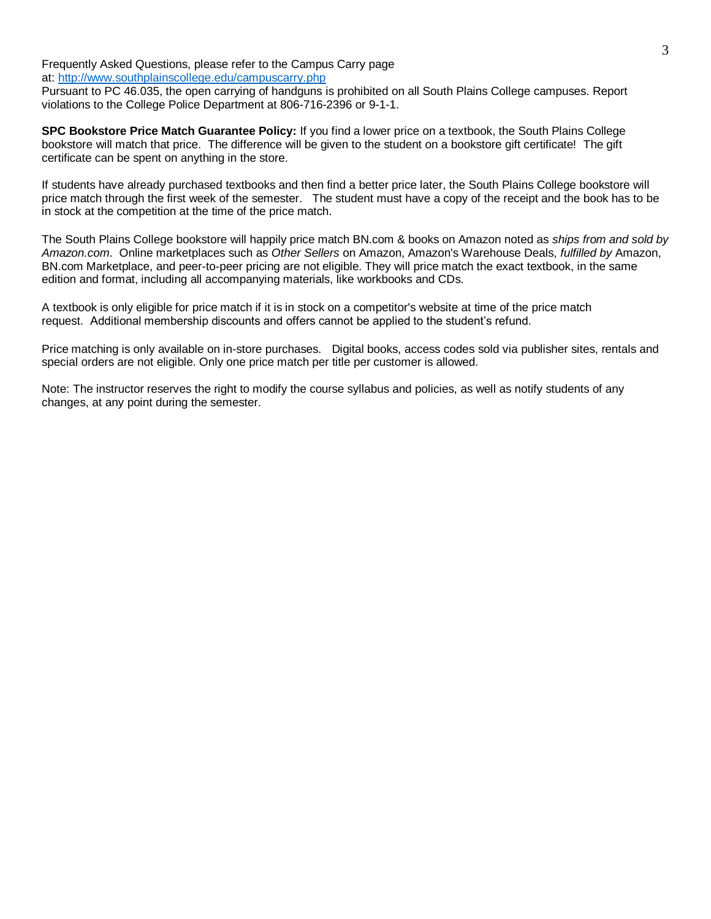Frequently Asked Questions, please refer to the Campus Carry page at: <http://www.southplainscollege.edu/campuscarry.php>

Pursuant to PC 46.035, the open carrying of handguns is prohibited on all South Plains College campuses. Report violations to the College Police Department at 806-716-2396 or 9-1-1.

**SPC Bookstore Price Match Guarantee Policy:** If you find a lower price on a textbook, the South Plains College bookstore will match that price. The difference will be given to the student on a bookstore gift certificate! The gift certificate can be spent on anything in the store.

If students have already purchased textbooks and then find a better price later, the South Plains College bookstore will price match through the first week of the semester. The student must have a copy of the receipt and the book has to be in stock at the competition at the time of the price match.

The South Plains College bookstore will happily price match BN.com & books on Amazon noted as *ships from and sold by Amazon.com*. Online marketplaces such as *Other Sellers* on Amazon, Amazon's Warehouse Deals, *fulfilled by* Amazon, BN.com Marketplace, and peer-to-peer pricing are not eligible. They will price match the exact textbook, in the same edition and format, including all accompanying materials, like workbooks and CDs.

A textbook is only eligible for price match if it is in stock on a competitor's website at time of the price match request. Additional membership discounts and offers cannot be applied to the student's refund.

Price matching is only available on in-store purchases. Digital books, access codes sold via publisher sites, rentals and special orders are not eligible. Only one price match per title per customer is allowed.

Note: The instructor reserves the right to modify the course syllabus and policies, as well as notify students of any changes, at any point during the semester.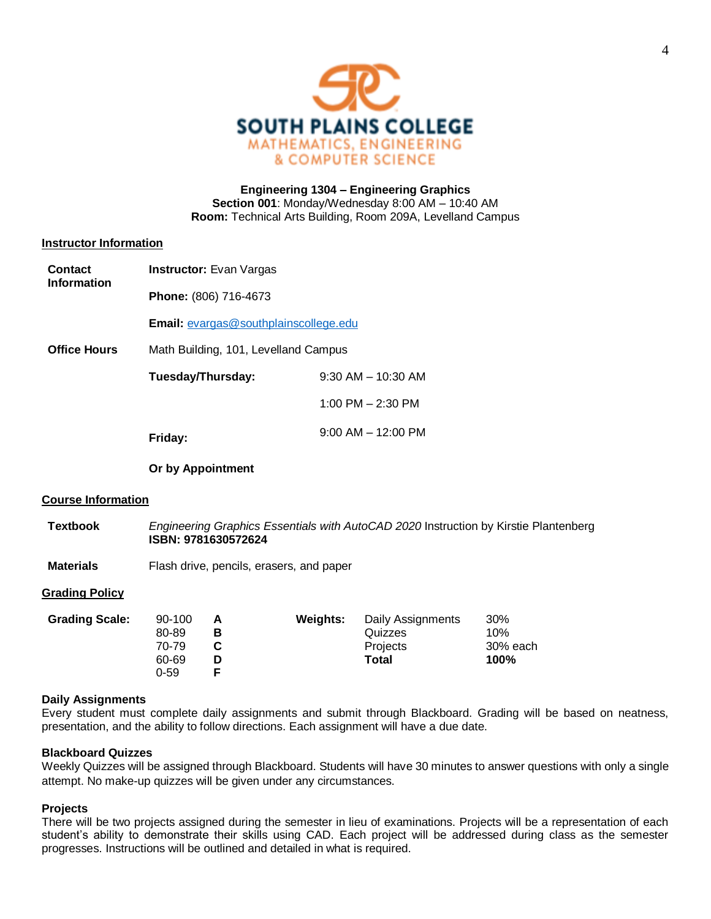

## **Engineering 1304 – Engineering Graphics Section 001**: Monday/Wednesday 8:00 AM – 10:40 AM **Room:** Technical Arts Building, Room 209A, Levelland Campus

## **Instructor Information**

| <b>Contact</b><br><b>Information</b> | <b>Instructor:</b> Evan Vargas                |                                          |                 |                                                                                      |                                |  |  |  |  |  |
|--------------------------------------|-----------------------------------------------|------------------------------------------|-----------------|--------------------------------------------------------------------------------------|--------------------------------|--|--|--|--|--|
|                                      | Phone: (806) 716-4673                         |                                          |                 |                                                                                      |                                |  |  |  |  |  |
|                                      | Email: evargas@southplainscollege.edu         |                                          |                 |                                                                                      |                                |  |  |  |  |  |
| <b>Office Hours</b>                  | Math Building, 101, Levelland Campus          |                                          |                 |                                                                                      |                                |  |  |  |  |  |
|                                      |                                               | Tuesday/Thursday:                        |                 | $9:30$ AM $-$ 10:30 AM<br>1:00 PM $-$ 2:30 PM                                        |                                |  |  |  |  |  |
|                                      |                                               |                                          |                 |                                                                                      |                                |  |  |  |  |  |
|                                      | Friday:                                       |                                          |                 | $9:00$ AM $-$ 12:00 PM                                                               |                                |  |  |  |  |  |
|                                      | Or by Appointment                             |                                          |                 |                                                                                      |                                |  |  |  |  |  |
| <b>Course Information</b>            |                                               |                                          |                 |                                                                                      |                                |  |  |  |  |  |
| <b>Textbook</b>                      |                                               | ISBN: 9781630572624                      |                 | Engineering Graphics Essentials with AutoCAD 2020 Instruction by Kirstie Plantenberg |                                |  |  |  |  |  |
| <b>Materials</b>                     |                                               | Flash drive, pencils, erasers, and paper |                 |                                                                                      |                                |  |  |  |  |  |
| <b>Grading Policy</b>                |                                               |                                          |                 |                                                                                      |                                |  |  |  |  |  |
| <b>Grading Scale:</b>                | 90-100<br>80-89<br>70-79<br>60-69<br>$0 - 59$ | A<br>B<br>C<br>D<br>F                    | <b>Weights:</b> | Daily Assignments<br>Quizzes<br>Projects<br>Total                                    | 30%<br>10%<br>30% each<br>100% |  |  |  |  |  |

## **Daily Assignments**

Every student must complete daily assignments and submit through Blackboard. Grading will be based on neatness, presentation, and the ability to follow directions. Each assignment will have a due date.

## **Blackboard Quizzes**

Weekly Quizzes will be assigned through Blackboard. Students will have 30 minutes to answer questions with only a single attempt. No make-up quizzes will be given under any circumstances.

## **Projects**

There will be two projects assigned during the semester in lieu of examinations. Projects will be a representation of each student's ability to demonstrate their skills using CAD. Each project will be addressed during class as the semester progresses. Instructions will be outlined and detailed in what is required.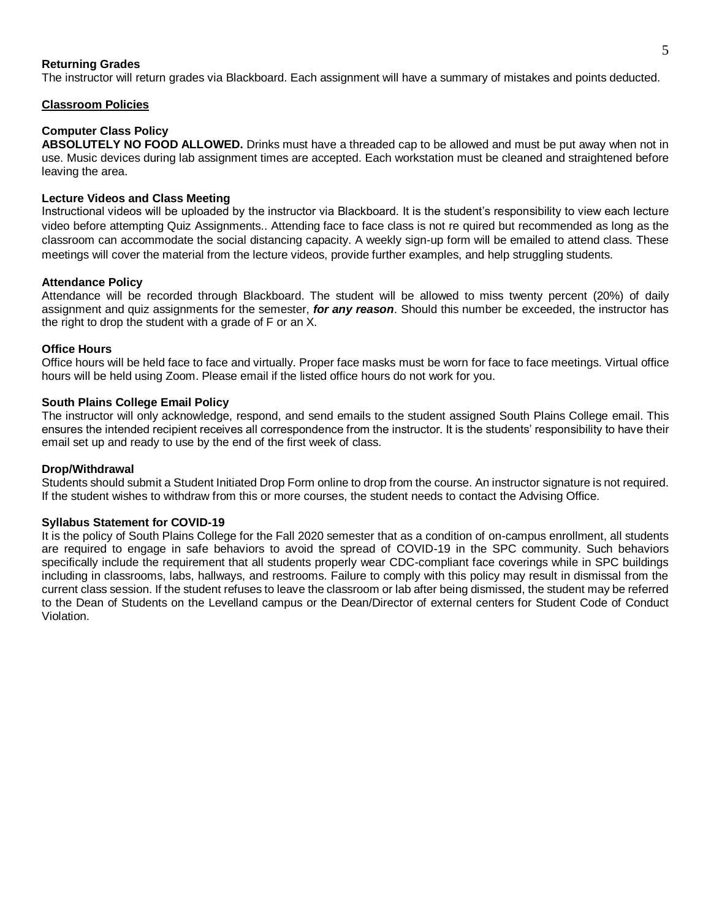### **Returning Grades**

The instructor will return grades via Blackboard. Each assignment will have a summary of mistakes and points deducted.

#### **Classroom Policies**

## **Computer Class Policy**

**ABSOLUTELY NO FOOD ALLOWED.** Drinks must have a threaded cap to be allowed and must be put away when not in use. Music devices during lab assignment times are accepted. Each workstation must be cleaned and straightened before leaving the area.

### **Lecture Videos and Class Meeting**

Instructional videos will be uploaded by the instructor via Blackboard. It is the student's responsibility to view each lecture video before attempting Quiz Assignments.. Attending face to face class is not re quired but recommended as long as the classroom can accommodate the social distancing capacity. A weekly sign-up form will be emailed to attend class. These meetings will cover the material from the lecture videos, provide further examples, and help struggling students.

#### **Attendance Policy**

Attendance will be recorded through Blackboard. The student will be allowed to miss twenty percent (20%) of daily assignment and quiz assignments for the semester, *for any reason*. Should this number be exceeded, the instructor has the right to drop the student with a grade of F or an X.

#### **Office Hours**

Office hours will be held face to face and virtually. Proper face masks must be worn for face to face meetings. Virtual office hours will be held using Zoom. Please email if the listed office hours do not work for you.

## **South Plains College Email Policy**

The instructor will only acknowledge, respond, and send emails to the student assigned South Plains College email. This ensures the intended recipient receives all correspondence from the instructor. It is the students' responsibility to have their email set up and ready to use by the end of the first week of class.

## **Drop/Withdrawal**

Students should submit a Student Initiated Drop Form online to drop from the course. An instructor signature is not required. If the student wishes to withdraw from this or more courses, the student needs to contact the Advising Office.

#### **Syllabus Statement for COVID-19**

It is the policy of South Plains College for the Fall 2020 semester that as a condition of on-campus enrollment, all students are required to engage in safe behaviors to avoid the spread of COVID-19 in the SPC community. Such behaviors specifically include the requirement that all students properly wear CDC-compliant face coverings while in SPC buildings including in classrooms, labs, hallways, and restrooms. Failure to comply with this policy may result in dismissal from the current class session. If the student refuses to leave the classroom or lab after being dismissed, the student may be referred to the Dean of Students on the Levelland campus or the Dean/Director of external centers for Student Code of Conduct Violation.